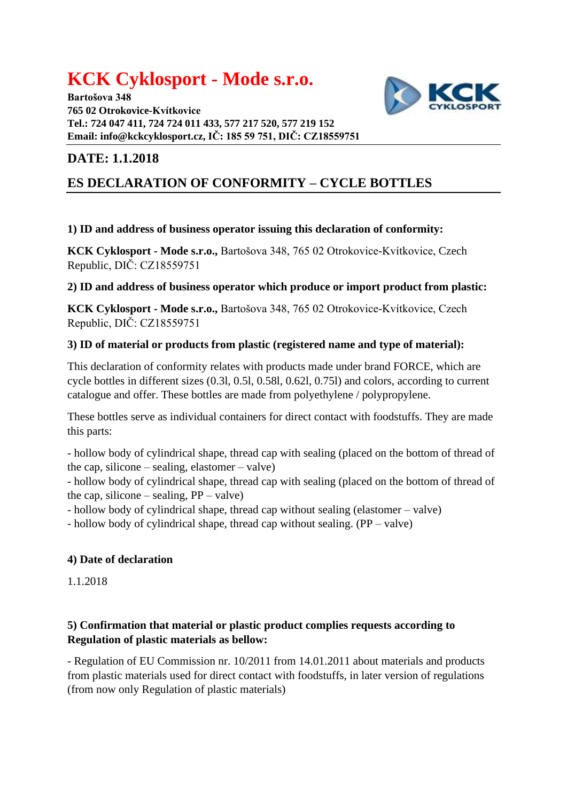# **KCK Cyklosport - Mode s.r.o.**

**Bartošova 348 765 02 Otrokovice-Kvítkovice Tel.: 724 047 411, 724 724 011 433, 577 217 520, 577 219 152 Email: [info@kckcyklosport.cz,](mailto:info@kckcyklosport.cz) IČ: 185 59 751, DIČ: CZ18559751**



## **DATE: 1.1.2018**

# **ES DECLARATION OF CONFORMITY – CYCLE BOTTLES**

## **1) ID and address of business operator issuing this declaration of conformity:**

**KCK Cyklosport - Mode s.r.o.,** Bartošova 348, 765 02 Otrokovice-Kvítkovice, Czech Republic, DIČ: CZ18559751

#### **2) ID and address of business operator which produce or import product from plastic:**

**KCK Cyklosport - Mode s.r.o.,** Bartošova 348, 765 02 Otrokovice-Kvítkovice, Czech Republic, DIČ: CZ18559751

#### **3) ID of material or products from plastic (registered name and type of material):**

This declaration of conformity relates with products made under brand FORCE, which are cycle bottles in different sizes (0.3l, 0.5l, 0.58l, 0.62l, 0.75l) and colors, according to current catalogue and offer. These bottles are made from polyethylene / polypropylene.

These bottles serve as individual containers for direct contact with foodstuffs. They are made this parts:

- hollow body of cylindrical shape, thread cap with sealing (placed on the bottom of thread of the cap, silicone – sealing, elastomer – valve)

- hollow body of cylindrical shape, thread cap with sealing (placed on the bottom of thread of the cap, silicone – sealing,  $PP - value$ )

- hollow body of cylindrical shape, thread cap without sealing (elastomer – valve)

- hollow body of cylindrical shape, thread cap without sealing. (PP – valve)

## **4) Date of declaration**

1.1.2018

## **5) Confirmation that material or plastic product complies requests according to Regulation of plastic materials as bellow:**

- Regulation of EU Commission nr. 10/2011 from 14.01.2011 about materials and products from plastic materials used for direct contact with foodstuffs, in later version of regulations (from now only Regulation of plastic materials)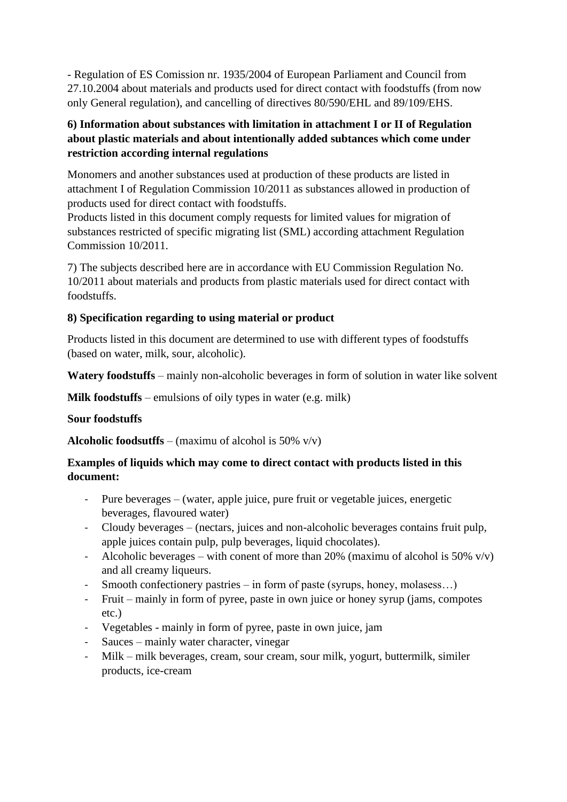- Regulation of ES Comission nr. 1935/2004 of European Parliament and Council from 27.10.2004 about materials and products used for direct contact with foodstuffs (from now only General regulation), and cancelling of directives 80/590/EHL and 89/109/EHS.

#### **6) Information about substances with limitation in attachment I or II of Regulation about plastic materials and about intentionally added subtances which come under restriction according internal regulations**

Monomers and another substances used at production of these products are listed in attachment I of Regulation Commission 10/2011 as substances allowed in production of products used for direct contact with foodstuffs.

Products listed in this document comply requests for limited values for migration of substances restricted of specific migrating list (SML) according attachment Regulation Commission 10/2011.

7) The subjects described here are in accordance with EU Commission Regulation No. 10/2011 about materials and products from plastic materials used for direct contact with foodstuffs.

#### **8) Specification regarding to using material or product**

Products listed in this document are determined to use with different types of foodstuffs (based on water, milk, sour, alcoholic).

**Watery foodstuffs** – mainly non-alcoholic beverages in form of solution in water like solvent

**Milk foodstuffs** – emulsions of oily types in water (e.g. milk)

#### **Sour foodstuffs**

**Alcoholic foodsutffs** – (maximu of alcohol is 50%  $v/v$ )

#### **Examples of liquids which may come to direct contact with products listed in this document:**

- Pure beverages (water, apple juice, pure fruit or vegetable juices, energetic beverages, flavoured water)
- Cloudy beverages (nectars, juices and non-alcoholic beverages contains fruit pulp, apple juices contain pulp, pulp beverages, liquid chocolates).
- Alcoholic beverages with conent of more than 20% (maximu of alcohol is 50%  $v/v$ ) and all creamy liqueurs.
- Smooth confectionery pastries in form of paste (syrups, honey, molasess...)
- Fruit mainly in form of pyree, paste in own juice or honey syrup (jams, compotes etc.)
- Vegetables mainly in form of pyree, paste in own juice, jam
- Sauces mainly water character, vinegar
- Milk milk beverages, cream, sour cream, sour milk, yogurt, buttermilk, similer products, ice-cream